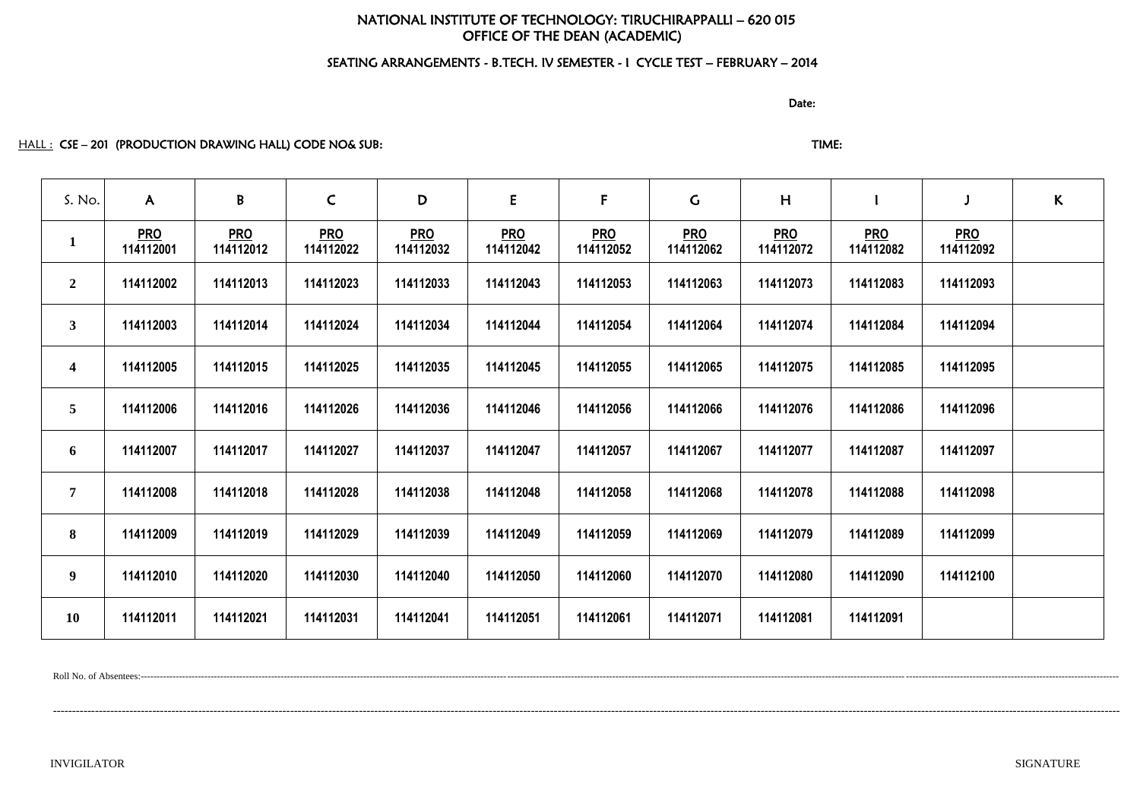# NATIONAL INSTITUTE OF TECHNOLOGY: TIRUCHIRAPPALLI – 620 015 OFFICE OF THE DEAN (ACADEMIC)

# SEATING ARRANGEMENTS - B.TECH. IV SEMESTER - I CYCLE TEST – FEBRUARY – 2014

discussion of the contract of the contract of the Date:

# HALL : CSE – 201 (PRODUCTION DRAWING HALL) CODE NO& SUB: TIME: TIME: TIME:

| S. No.                  | $\mathsf{A}$            | B                       | $\mathsf{C}$            | D                       | ${\sf E}$               | $\mathsf F$             | $\mathsf{C}$            | H                       |                         |                         | $\kappa$ |
|-------------------------|-------------------------|-------------------------|-------------------------|-------------------------|-------------------------|-------------------------|-------------------------|-------------------------|-------------------------|-------------------------|----------|
| $\mathbf{1}$            | <b>PRO</b><br>114112001 | <b>PRO</b><br>114112012 | <b>PRO</b><br>114112022 | <b>PRO</b><br>114112032 | <b>PRO</b><br>114112042 | <b>PRO</b><br>114112052 | <b>PRO</b><br>114112062 | <b>PRO</b><br>114112072 | <b>PRO</b><br>114112082 | <b>PRO</b><br>114112092 |          |
| $\overline{2}$          | 114112002               | 114112013               | 114112023               | 114112033               | 114112043               | 114112053               | 114112063               | 114112073               | 114112083               | 114112093               |          |
| 3 <sup>1</sup>          | 114112003               | 114112014               | 114112024               | 114112034               | 114112044               | 114112054               | 114112064               | 114112074               | 114112084               | 114112094               |          |
| $\overline{\mathbf{4}}$ | 114112005               | 114112015               | 114112025               | 114112035               | 114112045               | 114112055               | 114112065               | 114112075               | 114112085               | 114112095               |          |
| 5 <sup>5</sup>          | 114112006               | 114112016               | 114112026               | 114112036               | 114112046               | 114112056               | 114112066               | 114112076               | 114112086               | 114112096               |          |
| 6                       | 114112007               | 114112017               | 114112027               | 114112037               | 114112047               | 114112057               | 114112067               | 114112077               | 114112087               | 114112097               |          |
| $\overline{7}$          | 114112008               | 114112018               | 114112028               | 114112038               | 114112048               | 114112058               | 114112068               | 114112078               | 114112088               | 114112098               |          |
| 8                       | 114112009               | 114112019               | 114112029               | 114112039               | 114112049               | 114112059               | 114112069               | 114112079               | 114112089               | 114112099               |          |
| $\boldsymbol{9}$        | 114112010               | 114112020               | 114112030               | 114112040               | 114112050               | 114112060               | 114112070               | 114112080               | 114112090               | 114112100               |          |
| <b>10</b>               | 114112011               | 114112021               | 114112031               | 114112041               | 114112051               | 114112061               | 114112071               | 114112081               | 114112091               |                         |          |

Roll No. of Absentees:-------------------------------------------------------------------------------------------------------------------------------------------------------------------------------------------------------------------------------------------------------------------------------------------------------------------

---------------------------------------------------------------------------------------------------------------------------------------------------------------------------------------------------------------------------------------------------------------------------------------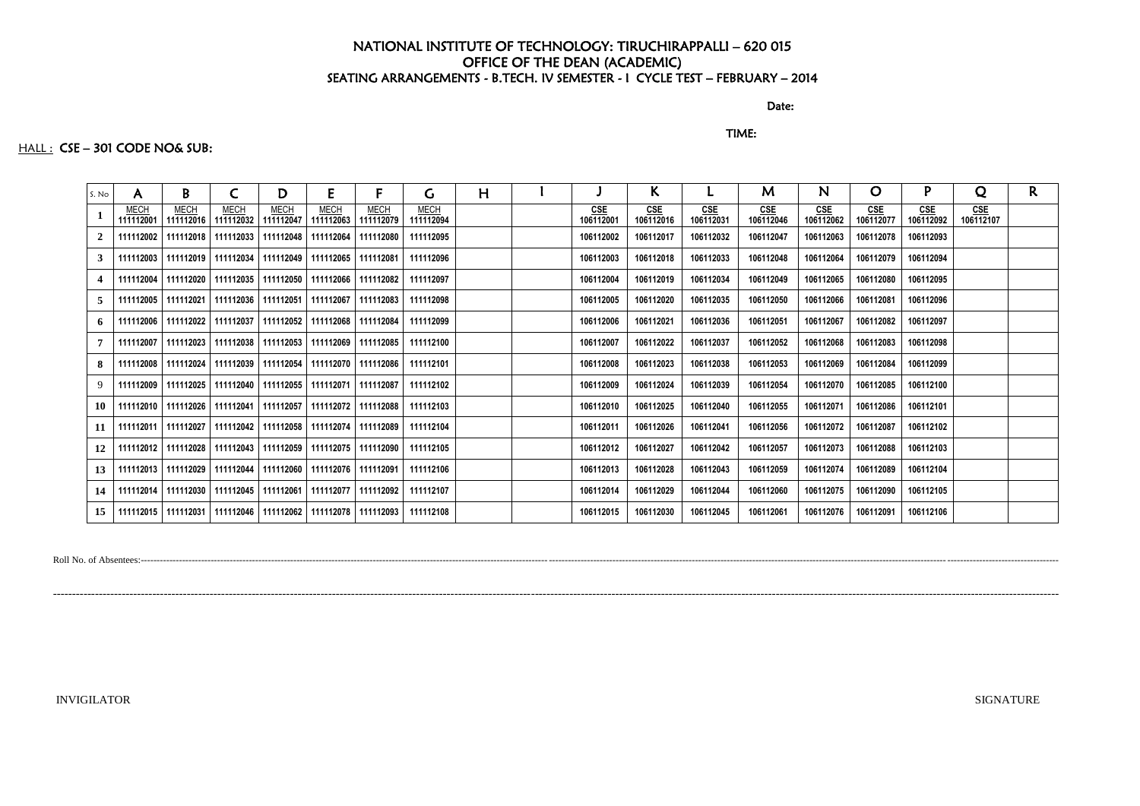discussion of the contract of the contract of the Date:

TIME:

# HALL : CSE - 301 CODE NO& SUB:

| S. No        | A                        | B                        | C                        | D                                                                     | E                        | F.                       | G                        | H |                  | K.                      |                  | M                       | N.               | $\overline{O}$   |                  | Q                | $\mathsf{R}$ |
|--------------|--------------------------|--------------------------|--------------------------|-----------------------------------------------------------------------|--------------------------|--------------------------|--------------------------|---|------------------|-------------------------|------------------|-------------------------|------------------|------------------|------------------|------------------|--------------|
| $\mathbf{1}$ | <b>MECH</b><br>111112001 | <b>MECH</b><br>111112016 | <b>MECH</b><br>111112032 | <b>MECH</b><br>111112047                                              | <b>MECH</b><br>111112063 | <b>MECH</b><br>111112079 | <b>MECH</b><br>111112094 |   | CSE<br>106112001 | <u>CSE</u><br>106112016 | CSE<br>106112031 | <b>CSE</b><br>106112046 | CSE<br>106112062 | CSE<br>106112077 | CSE<br>106112092 | CSE<br>106112107 |              |
| 2            |                          |                          |                          | 111112002   111112018   111112033   111112048   111112064   111112080 |                          |                          | 111112095                |   | 106112002        | 106112017               | 106112032        | 106112047               | 106112063        | 106112078        | 106112093        |                  |              |
| $\mathbf{3}$ |                          |                          |                          | 111112003   111112019   111112034   111112049   111112065   111112081 |                          |                          | 111112096                |   | 106112003        | 106112018               | 106112033        | 106112048               | 106112064        | 106112079        | 106112094        |                  |              |
| 4            |                          |                          |                          | 111112004   111112020   111112035   111112050   111112066   111112082 |                          |                          | 111112097                |   | 106112004        | 106112019               | 106112034        | 106112049               | 106112065        | 106112080        | 106112095        |                  |              |
| 5.           |                          |                          |                          | 111112005   111112021   111112036   111112051   111112067   111112083 |                          |                          | 111112098                |   | 106112005        | 106112020               | 106112035        | 106112050               | 106112066        | 106112081        | 106112096        |                  |              |
| 6            |                          |                          |                          | 111112006   111112022   111112037   111112052   111112068   111112084 |                          |                          | 111112099                |   | 106112006        | 106112021               | 106112036        | 106112051               | 106112067        | 106112082        | 106112097        |                  |              |
| 7            |                          |                          |                          | 111112007   111112023   111112038   111112053   111112069   111112085 |                          |                          | 111112100                |   | 106112007        | 106112022               | 106112037        | 106112052               | 106112068        | 106112083        | 106112098        |                  |              |
| 8            |                          |                          |                          | 111112008   111112024   111112039   111112054   111112070   111112086 |                          |                          | 111112101                |   | 106112008        | 106112023               | 106112038        | 106112053               | 106112069        | 106112084        | 106112099        |                  |              |
| 9            |                          |                          |                          | 111112009   111112025   111112040   111112055   111112071   111112087 |                          |                          | 111112102                |   | 106112009        | 106112024               | 106112039        | 106112054               | 106112070        | 106112085        | 106112100        |                  |              |
| 10           |                          |                          |                          | 111112010   111112026   111112041   111112057   111112072   111112088 |                          |                          | 111112103                |   | 106112010        | 106112025               | 106112040        | 106112055               | 106112071        | 106112086        | 106112101        |                  |              |
| 11           |                          |                          |                          | 111112011   111112027   111112042   111112058   111112074   111112089 |                          |                          | 111112104                |   | 106112011        | 106112026               | 106112041        | 106112056               | 106112072        | 106112087        | 106112102        |                  |              |
| 12           |                          |                          |                          | 111112012   111112028   111112043   111112059   111112075   111112090 |                          |                          | 111112105                |   | 106112012        | 106112027               | 106112042        | 106112057               | 106112073        | 106112088        | 106112103        |                  |              |
| 13           |                          |                          |                          | 111112013   111112029   111112044   111112060   111112076   111112091 |                          |                          | 111112106                |   | 106112013        | 106112028               | 106112043        | 106112059               | 106112074        | 106112089        | 106112104        |                  |              |
| 14           |                          |                          |                          | 111112014   111112030   111112045   111112061   111112077   111112092 |                          |                          | 111112107                |   | 106112014        | 106112029               | 106112044        | 106112060               | 106112075        | 106112090        | 106112105        |                  |              |
| 15           |                          |                          |                          | 111112015   111112031   111112046   111112062   111112078   111112093 |                          |                          | 111112108                |   | 106112015        | 106112030               | 106112045        | 106112061               | 106112076        | 106112091        | 106112106        |                  |              |

Roll No. of Absentees:------------------------------------------------------------------------------------------------------------------------------------------------------------------------------------------------------------------------------------------------------------------------------------------------

-----------------------------------------------------------------------------------------------------------------------------------------------------------------------------------------------------------------------------------------------------------------------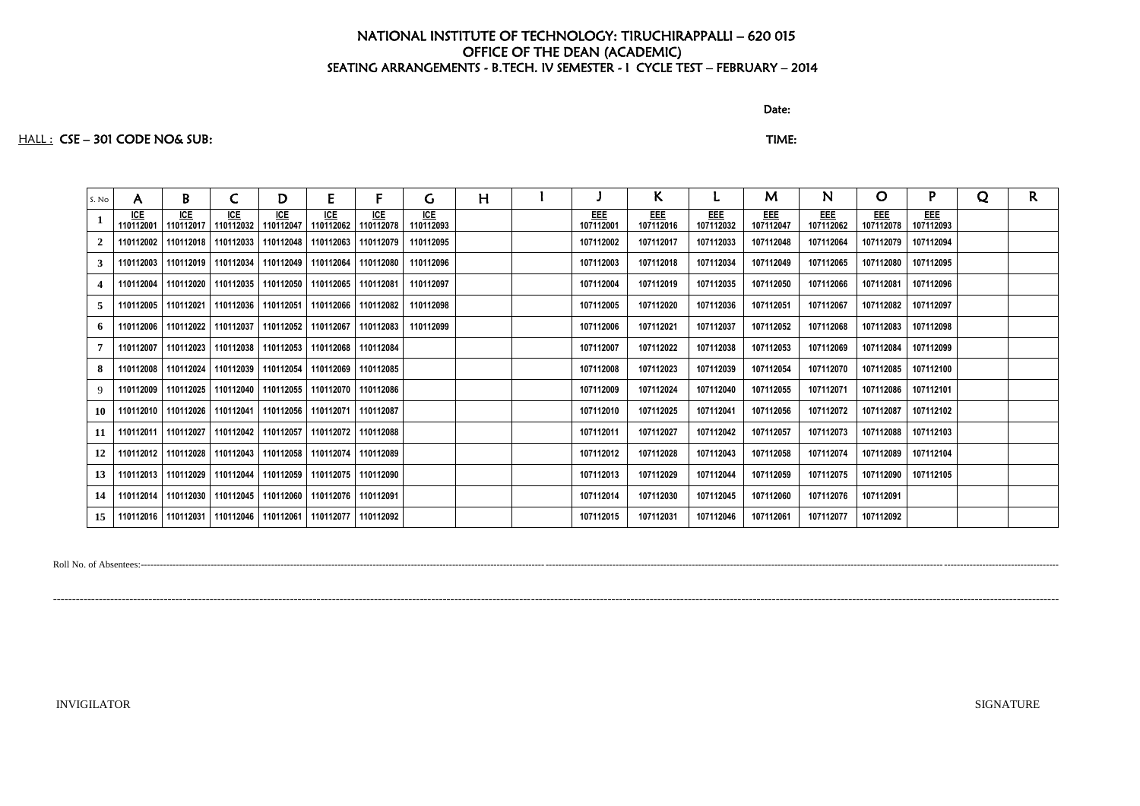discussion of the contract of the contract of the Date:

### HALL : CSE – 301 CODE NO& SUB: TIME:

# **EEE 107112078 EEE 107112093**

| S. No          | A                | B                       |                                               | D                       | E                       | F                       | G                | н |                  | K.               |                         | M                | N                       | $\mathbf O$      | P                | Q | R. |
|----------------|------------------|-------------------------|-----------------------------------------------|-------------------------|-------------------------|-------------------------|------------------|---|------------------|------------------|-------------------------|------------------|-------------------------|------------------|------------------|---|----|
|                | ICE<br>110112001 | <u>ICE</u><br>110112017 | <b>ICE</b><br>110112032                       | <b>ICE</b><br>110112047 | <b>ICE</b><br>110112062 | <b>ICE</b><br>110112078 | ICE<br>110112093 |   | EEE<br>107112001 | EEE<br>107112016 | <b>EEE</b><br>107112032 | EEE<br>107112047 | <b>EEE</b><br>107112062 | EEE<br>107112078 | EEE<br>107112093 |   |    |
| $\overline{2}$ | 110112002        |                         | 110112018   110112033   110112048             |                         | 110112063               | 110112079               | 110112095        |   | 107112002        | 107112017        | 107112033               | 107112048        | 107112064               | 107112079        | 107112094        |   |    |
| $\mathbf{3}$   | 110112003        |                         | 110112019   110112034   110112049             |                         | 110112064               | 110112080               | 110112096        |   | 107112003        | 107112018        | 107112034               | 107112049        | 107112065               | 107112080        | 107112095        |   |    |
| 4              | 110112004        |                         | 110112020   110112035   110112050             |                         | 110112065               | 110112081               | 110112097        |   | 107112004        | 107112019        | 107112035               | 107112050        | 107112066               | 107112081        | 107112096        |   |    |
| 5              |                  |                         | 110112005   110112021   110112036   110112051 |                         | 110112066               | 110112082               | 110112098        |   | 107112005        | 107112020        | 107112036               | 107112051        | 107112067               | 107112082        | 107112097        |   |    |
| 6              |                  |                         | 110112006   110112022   110112037   110112052 |                         | 110112067               | 110112083               | 110112099        |   | 107112006        | 107112021        | 107112037               | 107112052        | 107112068               | 107112083        | 107112098        |   |    |
| 7              |                  |                         | 110112007   110112023   110112038   110112053 |                         | 110112068               | 110112084               |                  |   | 107112007        | 107112022        | 107112038               | 107112053        | 107112069               | 107112084        | 107112099        |   |    |
| 8              | 110112008        |                         | 110112024 110112039 110112054                 |                         | 110112069               | 110112085               |                  |   | 107112008        | 107112023        | 107112039               | 107112054        | 107112070               | 107112085        | 107112100        |   |    |
|                | 110112009        |                         | 110112025   110112040   110112055             |                         | 110112070               | 110112086               |                  |   | 107112009        | 107112024        | 107112040               | 107112055        | 107112071               | 107112086        | 107112101        |   |    |
| <b>10</b>      |                  |                         | 110112010   110112026   110112041   110112056 |                         | 110112071               | 110112087               |                  |   | 107112010        | 107112025        | 107112041               | 107112056        | 107112072               | 107112087        | 107112102        |   |    |
| 11             |                  |                         | 110112011   110112027   110112042   110112057 |                         | 110112072               | 110112088               |                  |   | 107112011        | 107112027        | 107112042               | 107112057        | 107112073               | 107112088        | 107112103        |   |    |
| 12             |                  |                         | 110112012   110112028   110112043   110112058 |                         | 110112074               | 110112089               |                  |   | 107112012        | 107112028        | 107112043               | 107112058        | 107112074               | 107112089        | 107112104        |   |    |
| 13             |                  |                         | 110112013   110112029   110112044   110112059 |                         | 110112075               | 110112090               |                  |   | 107112013        | 107112029        | 107112044               | 107112059        | 107112075               | 107112090        | 107112105        |   |    |
| 14             |                  |                         | 110112014   110112030   110112045   110112060 |                         |                         | 110112076 110112091     |                  |   | 107112014        | 107112030        | 107112045               | 107112060        | 107112076               | 107112091        |                  |   |    |
| 15             |                  |                         | 110112016   110112031   110112046   110112061 |                         | 110112077               | 110112092               |                  |   | 107112015        | 107112031        | 107112046               | 107112061        | 107112077               | 107112092        |                  |   |    |

Roll No. of Absentees:------------------------------------------------------------------------------------------------------------------------------------------------------------------------------------------------------------------------------------------------------------------------------------------------

-----------------------------------------------------------------------------------------------------------------------------------------------------------------------------------------------------------------------------------------------------------------------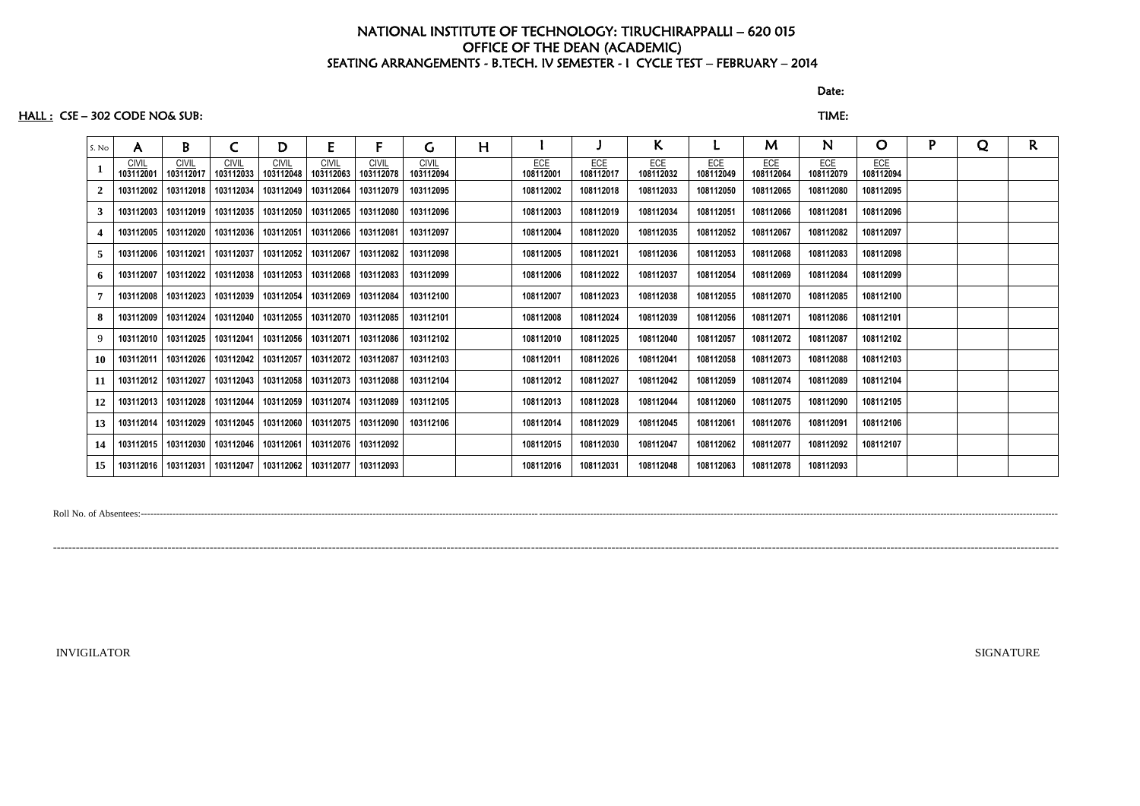discussion of the contract of the contract of the Date: the Date:

### HALL : CSE – 302 CODE NO& SUB: TIME:

| S. No | A                         | B                                 | C                         | D                         | E                         | F                         | G                         | H |                         |                         | K.                      |                         | M                | N.               | $\mathbf O$      | P | Q | R. |
|-------|---------------------------|-----------------------------------|---------------------------|---------------------------|---------------------------|---------------------------|---------------------------|---|-------------------------|-------------------------|-------------------------|-------------------------|------------------|------------------|------------------|---|---|----|
|       | <b>CIVIL</b><br>103112001 | <b>CIVIL</b><br>103112017         | <b>CIVIL</b><br>103112033 | <b>CIVIL</b><br>103112048 | <b>CIVIL</b><br>103112063 | <b>CIVIL</b><br>103112078 | <b>CIVIL</b><br>103112094 |   | <b>ECE</b><br>108112001 | <b>ECE</b><br>108112017 | <b>ECE</b><br>108112032 | <b>ECE</b><br>108112049 | ECE<br>108112064 | ECE<br>108112079 | ECE<br>108112094 |   |   |    |
| 2     | 103112002                 | 103112018                         | 103112034                 | 103112049                 | 103112064                 | 103112079                 | 103112095                 |   | 108112002               | 108112018               | 108112033               | 108112050               | 108112065        | 108112080        | 108112095        |   |   |    |
| 3     |                           | 103112003   103112019   103112035 |                           | 103112050                 | 103112065   103112080     |                           | 103112096                 |   | 108112003               | 108112019               | 108112034               | 108112051               | 108112066        | 108112081        | 108112096        |   |   |    |
| 4     |                           | 103112005   103112020             | 103112036                 | 103112051                 | 103112066   103112081     |                           | 103112097                 |   | 108112004               | 108112020               | 108112035               | 108112052               | 108112067        | 108112082        | 108112097        |   |   |    |
| 5     |                           | 103112006 103112021               | 103112037                 | 103112052                 |                           | 103112067   103112082     | 103112098                 |   | 108112005               | 108112021               | 108112036               | 108112053               | 108112068        | 108112083        | 108112098        |   |   |    |
| 6     |                           | 103112007   103112022             | 103112038                 | 103112053                 | 103112068   103112083     |                           | 103112099                 |   | 108112006               | 108112022               | 108112037               | 108112054               | 108112069        | 108112084        | 108112099        |   |   |    |
|       | 103112008                 | 103112023                         | 103112039                 | 103112054                 | 103112069                 | 103112084                 | 103112100                 |   | 108112007               | 108112023               | 108112038               | 108112055               | 108112070        | 108112085        | 108112100        |   |   |    |
| 8     |                           | 103112009   103112024             | 103112040                 | 103112055                 | 103112070                 | 103112085                 | 103112101                 |   | 108112008               | 108112024               | 108112039               | 108112056               | 108112071        | 108112086        | 108112101        |   |   |    |
| 9     |                           | 103112010 103112025               | 103112041                 | 103112056                 | 103112071                 | 103112086                 | 103112102                 |   | 108112010               | 108112025               | 108112040               | 108112057               | 108112072        | 108112087        | 108112102        |   |   |    |
| 10    |                           | 103112011   103112026             | 103112042                 | 103112057                 | 103112072 103112087       |                           | 103112103                 |   | 108112011               | 108112026               | 108112041               | 108112058               | 108112073        | 108112088        | 108112103        |   |   |    |
| 11    |                           | 103112012   103112027             | 103112043                 | 103112058                 | 103112073 103112088       |                           | 103112104                 |   | 108112012               | 108112027               | 108112042               | 108112059               | 108112074        | 108112089        | 108112104        |   |   |    |
| 12    |                           | 103112013   103112028             | 103112044                 | 103112059                 |                           | 103112074 103112089       | 103112105                 |   | 108112013               | 108112028               | 108112044               | 108112060               | 108112075        | 108112090        | 108112105        |   |   |    |
| 13    |                           | 103112014   103112029             | 103112045                 | 103112060                 |                           | 103112075   103112090     | 103112106                 |   | 108112014               | 108112029               | 108112045               | 108112061               | 108112076        | 108112091        | 108112106        |   |   |    |
| 14    |                           | 103112015   103112030             | 103112046                 | 103112061                 |                           | 103112076 103112092       |                           |   | 108112015               | 108112030               | 108112047               | 108112062               | 108112077        | 108112092        | 108112107        |   |   |    |
| 15    | 103112016                 | 103112031                         | 103112047                 | 103112062                 |                           | 103112077 103112093       |                           |   | 108112016               | 108112031               | 108112048               | 108112063               | 108112078        | 108112093        |                  |   |   |    |

Roll No. of Absentees:------------------------------------------------------------------------------------------------------------------------------------------------------------------------------------------------------------------------------------------------------------------------------------------------

-----------------------------------------------------------------------------------------------------------------------------------------------------------------------------------------------------------------------------------------------------------------------